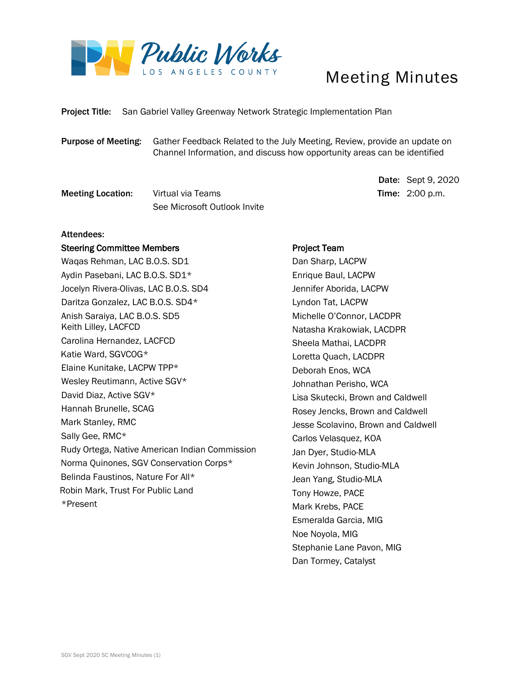

## Meeting Minutes

Date: Sept 9, 2020

Project Title: San Gabriel Valley Greenway Network Strategic Implementation Plan

Purpose of Meeting: Gather Feedback Related to the July Meeting, Review, provide an update on Channel Information, and discuss how opportunity areas can be identified

Meeting Location: Virtual via Teams Time: 2:00 p.m. See Microsoft Outlook Invite

#### Attendees:

#### Steering Committee Members

Waqas Rehman, LAC B.O.S. SD1 Aydin Pasebani, LAC B.O.S. SD1\* Jocelyn Rivera-Olivas, LAC B.O.S. SD4 Daritza Gonzalez, LAC B.O.S. SD4\* Anish Saraiya, LAC B.O.S. SD5 Keith Lilley, LACFCD Carolina Hernandez, LACFCD Katie Ward, SGVCOG\* Elaine Kunitake, LACPW TPP\* Wesley Reutimann, Active SGV\* David Diaz, Active SGV\* Hannah Brunelle, SCAG Mark Stanley, RMC Sally Gee, RMC\* Rudy Ortega, Native American Indian Commission Norma Quinones, SGV Conservation Corps\* Belinda Faustinos, Nature For All\* Robin Mark, Trust For Public Land \*Present

#### Project Team

 Dan Sharp, LACPW Enrique Baul, LACPW Jennifer Aborida, LACPW Lyndon Tat, LACPW Michelle O'Connor, LACDPR Natasha Krakowiak, LACDPR Sheela Mathai, LACDPR Loretta Quach, LACDPR Deborah Enos, WCA Johnathan Perisho, WCA Lisa Skutecki, Brown and Caldwell Rosey Jencks, Brown and Caldwell Jesse Scolavino, Brown and Caldwell Carlos Velasquez, KOA Jan Dyer, Studio-MLA Kevin Johnson, Studio-MLA Jean Yang, Studio-MLA Tony Howze, PACE Mark Krebs, PACE Esmeralda Garcia, MIG Noe Noyola, MIG Stephanie Lane Pavon, MIG Dan Tormey, Catalyst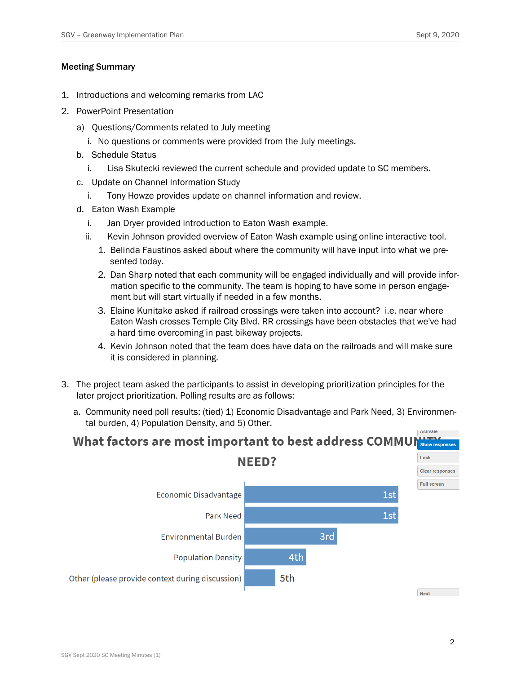#### Meeting Summary

- 1. Introductions and welcoming remarks from LAC
- 2. PowerPoint Presentation
	- a) Questions/Comments related to July meeting
		- i. No questions or comments were provided from the July meetings.
	- b. Schedule Status
		- i. Lisa Skutecki reviewed the current schedule and provided update to SC members.
	- c. Update on Channel Information Study
		- i. Tony Howze provides update on channel information and review.
	- d. Eaton Wash Example
		- i. Jan Dryer provided introduction to Eaton Wash example.
		- ii. Kevin Johnson provided overview of Eaton Wash example using online interactive tool.
			- 1. Belinda Faustinos asked about where the community will have input into what we presented today.
			- 2. Dan Sharp noted that each community will be engaged individually and will provide information specific to the community. The team is hoping to have some in person engagement but will start virtually if needed in a few months.
			- 3. Elaine Kunitake asked if railroad crossings were taken into account? i.e. near where Eaton Wash crosses Temple City Blvd. RR crossings have been obstacles that we've had a hard time overcoming in past bikeway projects.
			- 4. Kevin Johnson noted that the team does have data on the railroads and will make sure it is considered in planning.
- 3. The project team asked the participants to assist in developing prioritization principles for the later project prioritization. Polling results are as follows:
	- a. Community need poll results: (tied) 1) Economic Disadvantage and Park Need, 3) Environmental burden, 4) Population Density, and 5) Other.

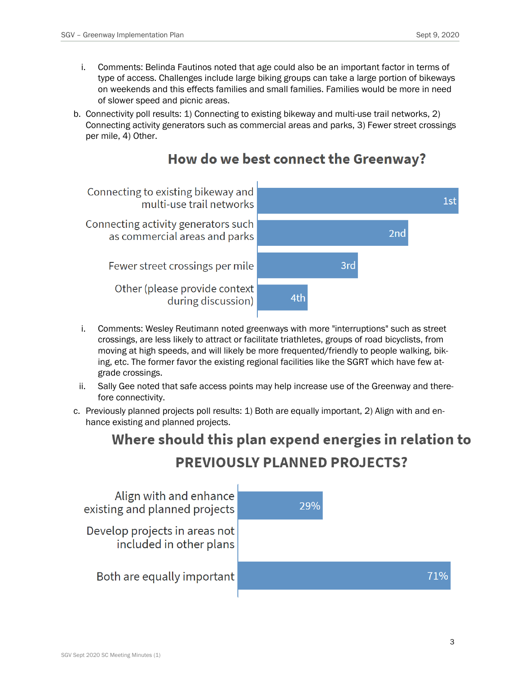- i. Comments: Belinda Fautinos noted that age could also be an important factor in terms of type of access. Challenges include large biking groups can take a large portion of bikeways on weekends and this effects families and small families. Families would be more in need of slower speed and picnic areas.
- b. Connectivity poll results: 1) Connecting to existing bikeway and multi-use trail networks, 2) Connecting activity generators such as commercial areas and parks, 3) Fewer street crossings per mile, 4) Other.



### How do we best connect the Greenway?

- i. Comments: Wesley Reutimann noted greenways with more "interruptions" such as street crossings, are less likely to attract or facilitate triathletes, groups of road bicyclists, from moving at high speeds, and will likely be more frequented/friendly to people walking, biking, etc. The former favor the existing regional facilities like the SGRT which have few atgrade crossings.
- ii. Sally Gee noted that safe access points may help increase use of the Greenway and therefore connectivity.
- c. Previously planned projects poll results: 1) Both are equally important, 2) Align with and enhance existing and planned projects.

# Where should this plan expend energies in relation to **PREVIOUSLY PLANNED PROJECTS?**